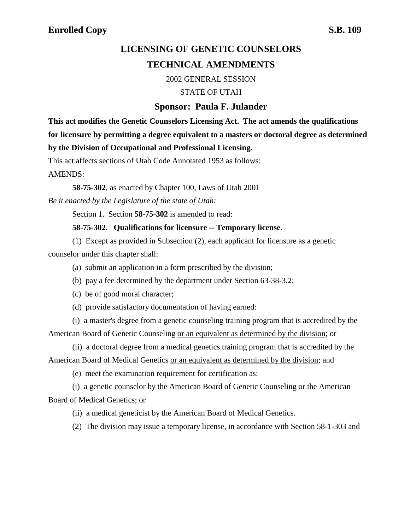# **LICENSING OF GENETIC COUNSELORS TECHNICAL AMENDMENTS**

2002 GENERAL SESSION

STATE OF UTAH

## **Sponsor: Paula F. Julander**

**This act modifies the Genetic Counselors Licensing Act. The act amends the qualifications**

**for licensure by permitting a degree equivalent to a masters or doctoral degree as determined**

## **by the Division of Occupational and Professional Licensing.**

This act affects sections of Utah Code Annotated 1953 as follows:

AMENDS:

**58-75-302**, as enacted by Chapter 100, Laws of Utah 2001

*Be it enacted by the Legislature of the state of Utah:*

Section 1. Section **58-75-302** is amended to read:

#### **58-75-302. Qualifications for licensure -- Temporary license.**

(1) Except as provided in Subsection (2), each applicant for licensure as a genetic counselor under this chapter shall:

- (a) submit an application in a form prescribed by the division;
- (b) pay a fee determined by the department under Section 63-38-3.2;
- (c) be of good moral character;
- (d) provide satisfactory documentation of having earned:

(i) a master's degree from a genetic counseling training program that is accredited by the American Board of Genetic Counseling or an equivalent as determined by the division; or

(ii) a doctoral degree from a medical genetics training program that is accredited by the American Board of Medical Genetics or an equivalent as determined by the division; and

(e) meet the examination requirement for certification as:

(i) a genetic counselor by the American Board of Genetic Counseling or the American Board of Medical Genetics; or

- (ii) a medical geneticist by the American Board of Medical Genetics.
- (2) The division may issue a temporary license, in accordance with Section 58-1-303 and